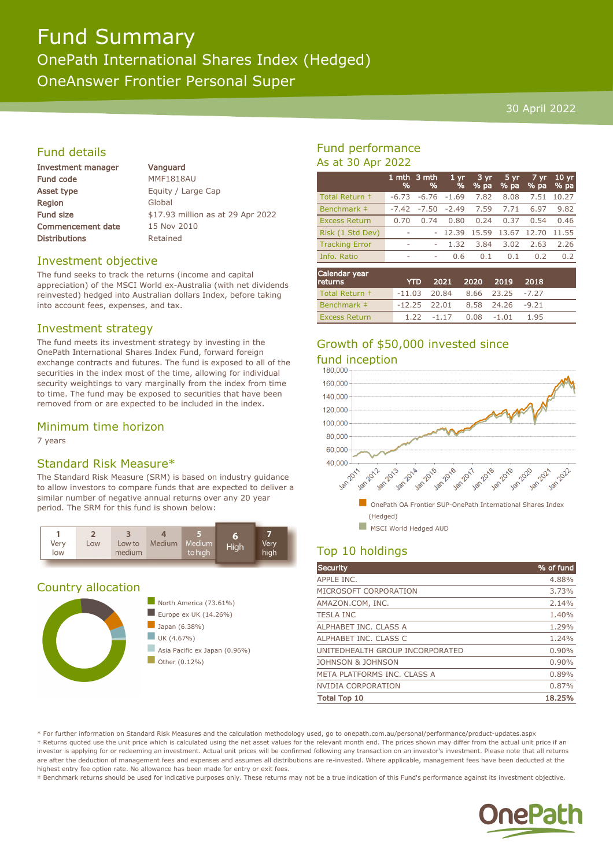# Fund Summary OnePath International Shares Index (Hedged) OneAnswer Frontier Personal Super

#### 30 April 2022

### Fund details

| Investment manager       |  |
|--------------------------|--|
| <b>Fund code</b>         |  |
| Asset type               |  |
| Region                   |  |
| <b>Fund size</b>         |  |
| <b>Commencement date</b> |  |
| <b>Distributions</b>     |  |

Vanguard MMF1818AU Equity / Large Cap Global \$17.93 million as at 29 Apr 2022 15 Nov 2010 Retained

#### Investment objective

The fund seeks to track the returns (income and capital appreciation) of the MSCI World ex-Australia (with net dividends reinvested) hedged into Australian dollars Index, before taking into account fees, expenses, and tax.

#### Investment strategy

The fund meets its investment strategy by investing in the OnePath International Shares Index Fund, forward foreign exchange contracts and futures. The fund is exposed to all of the securities in the index most of the time, allowing for individual security weightings to vary marginally from the index from time to time. The fund may be exposed to securities that have been removed from or are expected to be included in the index.

#### Minimum time horizon

7 years

#### Standard Risk Measure\*

The Standard Risk Measure (SRM) is based on industry guidance to allow investors to compare funds that are expected to deliver a similar number of negative annual returns over any 20 year period. The SRM for this fund is shown below:



#### Country allocation



## Fund performance As at 30 Apr 2022

|                       | %       | 1 mth $3$ mth<br>% | 1 <sub>yr</sub><br>% | 3 yr<br>% pa | 5 yr<br>% pa | $7 \, \text{yr}$<br>% pa | 10 <sub>yr</sub><br>% pa |
|-----------------------|---------|--------------------|----------------------|--------------|--------------|--------------------------|--------------------------|
| Total Return +        | $-6.73$ | $-6.76$            | $-1.69$              | 7.82         | 8.08         | 7.51                     | 10.27                    |
| Benchmark ‡           | $-7.42$ | $-7.50$            | $-2.49$              | 7.59         | 7.71         | 6.97                     | 9.82                     |
| <b>Excess Return</b>  | 0.70    | 0.74               | 0.80                 | 0.24         | 0.37         | 0.54                     | 0.46                     |
| Risk (1 Std Dev)      | ۰       | ٠                  | 12.39                | 15.59        | 13.67        | 12.70                    | 11.55                    |
| <b>Tracking Error</b> | ٠       | ۰                  | 1.32                 | 3.84         | 3.02         | 2.63                     | 2.26                     |
| Info. Ratio           | ۰       | ۰                  | 0.6                  | 0.1          | 0.1          | 0.2                      | 0.2                      |
| Calendar year         |         |                    |                      |              |              |                          |                          |

| returns              |                                   | YTD 2021 2020 2019 2018  |  |      |  |
|----------------------|-----------------------------------|--------------------------|--|------|--|
| Total Return +       | $-11.03$ 20.84 8.66 23.25 $-7.27$ |                          |  |      |  |
| Benchmark ‡          | $-12.25$ 22.01 8.58 24.26 $-9.21$ |                          |  |      |  |
| <b>Excess Return</b> |                                   | $1.22 -1.17 -0.08 -1.01$ |  | 1.95 |  |

# Growth of \$50,000 invested since



# Top 10 holdings

| <b>Security</b>                 | % of fund |
|---------------------------------|-----------|
| APPLE INC.                      | 4.88%     |
| MICROSOFT CORPORATION           | 3.73%     |
| AMAZON.COM, INC.                | 2.14%     |
| <b>TESLA INC</b>                | 1.40%     |
| ALPHABET INC. CLASS A           | 1.29%     |
| ALPHABET INC. CLASS C           | 1.24%     |
| UNITEDHEALTH GROUP INCORPORATED | 0.90%     |
| JOHNSON & JOHNSON               | 0.90%     |
| META PLATFORMS INC. CLASS A     | 0.89%     |
| <b>NVIDIA CORPORATION</b>       | 0.87%     |
| <b>Total Top 10</b>             | 18.25%    |

\* For further information on Standard Risk Measures and the calculation methodology used, go to onepath.com.au/personal/performance/product-updates.aspx † Returns quoted use the unit price which is calculated using the net asset values for the relevant month end. The prices shown may differ from the actual unit price if an investor is applying for or redeeming an investment. Actual unit prices will be confirmed following any transaction on an investor's investment. Please note that all returns are after the deduction of management fees and expenses and assumes all distributions are re-invested. Where applicable, management fees have been deducted at the highest entry fee option rate. No allowance has been made for entry or exit fees.

‡ Benchmark returns should be used for indicative purposes only. These returns may not be a true indication of this Fund's performance against its investment objective.